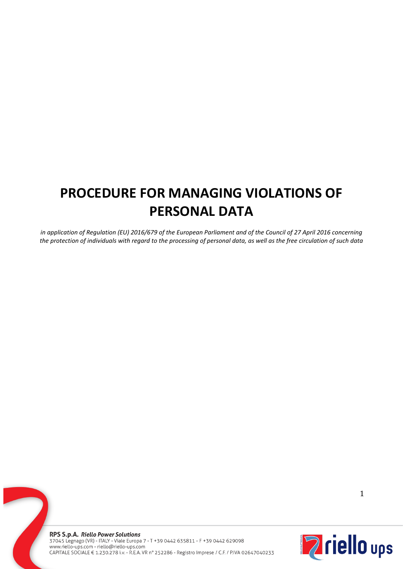# **PROCEDURE FOR MANAGING VIOLATIONS OF PERSONAL DATA**

*in application of Regulation (EU) 2016/679 of the European Parliament and of the Council of 27 April 2016 concerning the protection of individuals with regard to the processing of personal data, as well as the free circulation of such data*

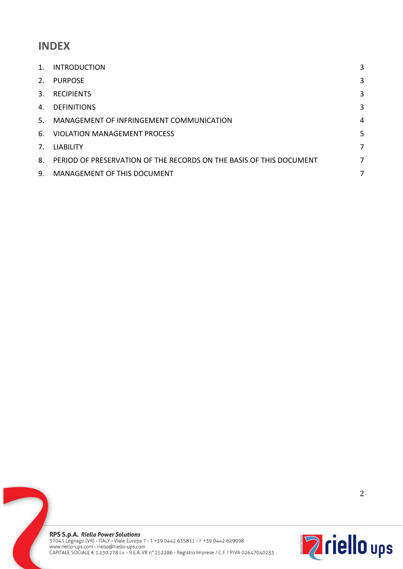# **INDEX**

| 1.                              | <b>INTRODUCTION</b>                                                 | 3 |
|---------------------------------|---------------------------------------------------------------------|---|
| 2.                              | <b>PURPOSE</b>                                                      | 3 |
| 3.                              | <b>RECIPIENTS</b>                                                   | 3 |
| 4.                              | <b>DEFINITIONS</b>                                                  | 3 |
| .5.                             | MANAGEMENT OF INFRINGEMENT COMMUNICATION                            | 4 |
| 6.                              | <b>VIOLATION MANAGEMENT PROCESS</b>                                 | 5 |
| $7_{\scriptscriptstyle{\circ}}$ | <b>LIABILITY</b>                                                    | 7 |
| 8.                              | PERIOD OF PRESERVATION OF THE RECORDS ON THE BASIS OF THIS DOCUMENT | 7 |
| 9.                              | MANAGEMENT OF THIS DOCUMENT                                         | 7 |

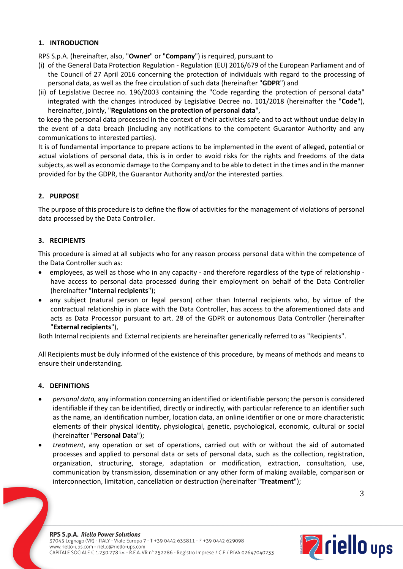# **1. INTRODUCTION**

RPS S.p.A. (hereinafter, also, "**Owner**" or "**Company**") is required, pursuant to

- (i) of the General Data Protection Regulation Regulation (EU) 2016/679 of the European Parliament and of the Council of 27 April 2016 concerning the protection of individuals with regard to the processing of personal data, as well as the free circulation of such data (hereinafter "**GDPR**") and
- (ii) of Legislative Decree no. 196/2003 containing the "Code regarding the protection of personal data" integrated with the changes introduced by Legislative Decree no. 101/2018 (hereinafter the "**Code**"), hereinafter, jointly, "**Regulations on the protection of personal data**",

to keep the personal data processed in the context of their activities safe and to act without undue delay in the event of a data breach (including any notifications to the competent Guarantor Authority and any communications to interested parties).

It is of fundamental importance to prepare actions to be implemented in the event of alleged, potential or actual violations of personal data, this is in order to avoid risks for the rights and freedoms of the data subjects, as well as economic damage to the Company and to be able to detect in the times and in the manner provided for by the GDPR, the Guarantor Authority and/or the interested parties.

# **2. PURPOSE**

The purpose of this procedure is to define the flow of activities for the management of violations of personal data processed by the Data Controller.

# **3. RECIPIENTS**

This procedure is aimed at all subjects who for any reason process personal data within the competence of the Data Controller such as:

- employees, as well as those who in any capacity and therefore regardless of the type of relationship have access to personal data processed during their employment on behalf of the Data Controller (hereinafter "**Internal recipients**");
- any subject (natural person or legal person) other than Internal recipients who, by virtue of the contractual relationship in place with the Data Controller, has access to the aforementioned data and acts as Data Processor pursuant to art. 28 of the GDPR or autonomous Data Controller (hereinafter "**External recipients**"),

Both Internal recipients and External recipients are hereinafter generically referred to as "Recipients".

All Recipients must be duly informed of the existence of this procedure, by means of methods and means to ensure their understanding.

#### **4. DEFINITIONS**

- *personal data,* any information concerning an identified or identifiable person; the person is considered identifiable if they can be identified, directly or indirectly, with particular reference to an identifier such as the name, an identification number, location data, an online identifier or one or more characteristic elements of their physical identity, physiological, genetic, psychological, economic, cultural or social (hereinafter "**Personal Data**");
- *treatment*, any operation or set of operations, carried out with or without the aid of automated processes and applied to personal data or sets of personal data, such as the collection, registration, organization, structuring, storage, adaptation or modification, extraction, consultation, use, communication by transmission, dissemination or any other form of making available, comparison or interconnection, limitation, cancellation or destruction (hereinafter "**Treatment**");

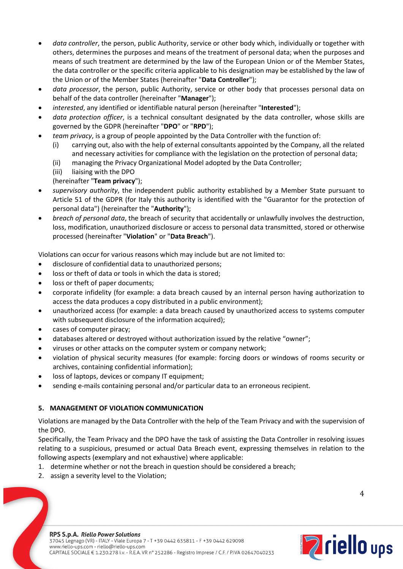- *data controller*, the person, public Authority, service or other body which, individually or together with others, determines the purposes and means of the treatment of personal data; when the purposes and means of such treatment are determined by the law of the European Union or of the Member States, the data controller or the specific criteria applicable to his designation may be established by the law of the Union or of the Member States (hereinafter "**Data Controller**");
- *data processor*, the person, public Authority, service or other body that processes personal data on behalf of the data controller (hereinafter "**Manager**");
- *interested*, any identified or identifiable natural person (hereinafter "**Interested**");
- *data protection officer*, is a technical consultant designated by the data controller, whose skills are governed by the GDPR (hereinafter "**DPO**" or "**RPD**");
- *team privacy*, is a group of people appointed by the Data Controller with the function of:
	- (i) carrying out, also with the help of external consultants appointed by the Company, all the related and necessary activities for compliance with the legislation on the protection of personal data;
	- (ii) managing the Privacy Organizational Model adopted by the Data Controller;
	- (iii) liaising with the DPO
	- (hereinafter "**Team privacy**");
- *supervisory authority*, the independent public authority established by a Member State pursuant to Article 51 of the GDPR (for Italy this authority is identified with the "Guarantor for the protection of personal data") (hereinafter the "**Authority**");
- *breach of personal data*, the breach of security that accidentally or unlawfully involves the destruction, loss, modification, unauthorized disclosure or access to personal data transmitted, stored or otherwise processed (hereinafter "**Violation**" or "**Data Breach**").

Violations can occur for various reasons which may include but are not limited to:

- disclosure of confidential data to unauthorized persons;
- loss or theft of data or tools in which the data is stored;
- loss or theft of paper documents;
- corporate infidelity (for example: a data breach caused by an internal person having authorization to access the data produces a copy distributed in a public environment);
- unauthorized access (for example: a data breach caused by unauthorized access to systems computer with subsequent disclosure of the information acquired);
- cases of computer piracy;
- databases altered or destroyed without authorization issued by the relative "owner";
- viruses or other attacks on the computer system or company network;
- violation of physical security measures (for example: forcing doors or windows of rooms security or archives, containing confidential information);
- loss of laptops, devices or company IT equipment;
- sending e-mails containing personal and/or particular data to an erroneous recipient.

# **5. MANAGEMENT OF VIOLATION COMMUNICATION**

Violations are managed by the Data Controller with the help of the Team Privacy and with the supervision of the DPO.

Specifically, the Team Privacy and the DPO have the task of assisting the Data Controller in resolving issues relating to a suspicious, presumed or actual Data Breach event, expressing themselves in relation to the following aspects (exemplary and not exhaustive) where applicable:

- 1. determine whether or not the breach in question should be considered a breach;
- 2. assign a severity level to the Violation;

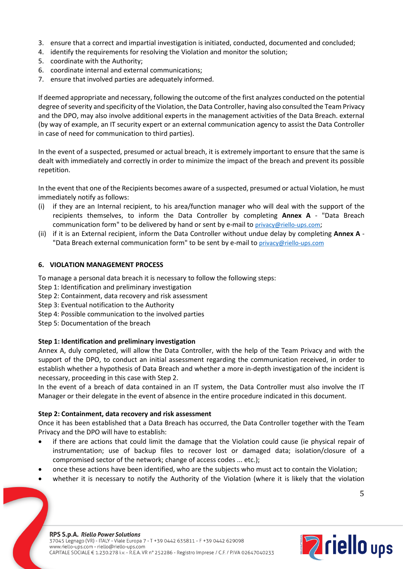- 3. ensure that a correct and impartial investigation is initiated, conducted, documented and concluded;
- 4. identify the requirements for resolving the Violation and monitor the solution;
- 5. coordinate with the Authority;
- 6. coordinate internal and external communications;
- 7. ensure that involved parties are adequately informed.

If deemed appropriate and necessary, following the outcome of the first analyzes conducted on the potential degree of severity and specificity of the Violation, the Data Controller, having also consulted the Team Privacy and the DPO, may also involve additional experts in the management activities of the Data Breach. external (by way of example, an IT security expert or an external communication agency to assist the Data Controller in case of need for communication to third parties).

In the event of a suspected, presumed or actual breach, it is extremely important to ensure that the same is dealt with immediately and correctly in order to minimize the impact of the breach and prevent its possible repetition.

In the event that one of the Recipients becomes aware of a suspected, presumed or actual Violation, he must immediately notify as follows:

- (i) if they are an Internal recipient, to his area/function manager who will deal with the support of the recipients themselves, to inform the Data Controller by completing **Annex A** - "Data Breach communication form" to be delivered by hand or sent by e-mail to privacy@riello-ups.com;
- (ii) if it is an External recipient, inform the Data Controller without undue delay by completing **Annex A** "Data Breach external communication form" to be sent by e-mail to privacy@riello-ups.com

#### **6. VIOLATION MANAGEMENT PROCESS**

To manage a personal data breach it is necessary to follow the following steps:

- Step 1: Identification and preliminary investigation
- Step 2: Containment, data recovery and risk assessment
- Step 3: Eventual notification to the Authority
- Step 4: Possible communication to the involved parties
- Step 5: Documentation of the breach

#### **Step 1: Identification and preliminary investigation**

Annex A, duly completed, will allow the Data Controller, with the help of the Team Privacy and with the support of the DPO, to conduct an initial assessment regarding the communication received, in order to establish whether a hypothesis of Data Breach and whether a more in-depth investigation of the incident is necessary, proceeding in this case with Step 2.

In the event of a breach of data contained in an IT system, the Data Controller must also involve the IT Manager or their delegate in the event of absence in the entire procedure indicated in this document.

#### **Step 2: Containment, data recovery and risk assessment**

Once it has been established that a Data Breach has occurred, the Data Controller together with the Team Privacy and the DPO will have to establish:

- if there are actions that could limit the damage that the Violation could cause (ie physical repair of instrumentation; use of backup files to recover lost or damaged data; isolation/closure of a compromised sector of the network; change of access codes ... etc.);
- once these actions have been identified, who are the subjects who must act to contain the Violation;
- whether it is necessary to notify the Authority of the Violation (where it is likely that the violation

5

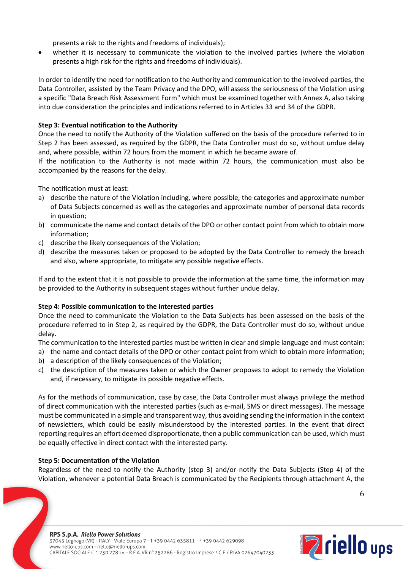presents a risk to the rights and freedoms of individuals);

whether it is necessary to communicate the violation to the involved parties (where the violation presents a high risk for the rights and freedoms of individuals).

In order to identify the need for notification to the Authority and communication to the involved parties, the Data Controller, assisted by the Team Privacy and the DPO, will assess the seriousness of the Violation using a specific "Data Breach Risk Assessment Form" which must be examined together with Annex A, also taking into due consideration the principles and indications referred to in Articles 33 and 34 of the GDPR.

# **Step 3: Eventual notification to the Authority**

Once the need to notify the Authority of the Violation suffered on the basis of the procedure referred to in Step 2 has been assessed, as required by the GDPR, the Data Controller must do so, without undue delay and, where possible, within 72 hours from the moment in which he became aware of.

If the notification to the Authority is not made within 72 hours, the communication must also be accompanied by the reasons for the delay.

The notification must at least:

- a) describe the nature of the Violation including, where possible, the categories and approximate number of Data Subjects concerned as well as the categories and approximate number of personal data records in question;
- b) communicate the name and contact details of the DPO or other contact point from which to obtain more information;
- c) describe the likely consequences of the Violation;
- d) describe the measures taken or proposed to be adopted by the Data Controller to remedy the breach and also, where appropriate, to mitigate any possible negative effects.

If and to the extent that it is not possible to provide the information at the same time, the information may be provided to the Authority in subsequent stages without further undue delay.

#### **Step 4: Possible communication to the interested parties**

Once the need to communicate the Violation to the Data Subjects has been assessed on the basis of the procedure referred to in Step 2, as required by the GDPR, the Data Controller must do so, without undue delay.

The communication to the interested parties must be written in clear and simple language and must contain:

- a) the name and contact details of the DPO or other contact point from which to obtain more information;
- b) a description of the likely consequences of the Violation;
- c) the description of the measures taken or which the Owner proposes to adopt to remedy the Violation and, if necessary, to mitigate its possible negative effects.

As for the methods of communication, case by case, the Data Controller must always privilege the method of direct communication with the interested parties (such as e-mail, SMS or direct messages). The message must be communicated in a simple and transparent way, thus avoiding sending the information in the context of newsletters, which could be easily misunderstood by the interested parties. In the event that direct reporting requires an effort deemed disproportionate, then a public communication can be used, which must be equally effective in direct contact with the interested party.

#### **Step 5: Documentation of the Violation**

Regardless of the need to notify the Authority (step 3) and/or notify the Data Subjects (Step 4) of the Violation, whenever a potential Data Breach is communicated by the Recipients through attachment A, the

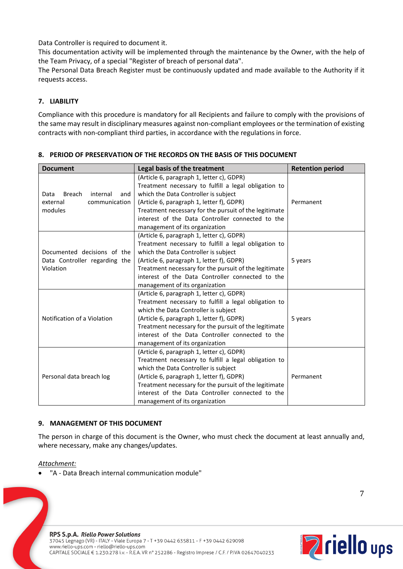Data Controller is required to document it.

This documentation activity will be implemented through the maintenance by the Owner, with the help of the Team Privacy, of a special "Register of breach of personal data".

The Personal Data Breach Register must be continuously updated and made available to the Authority if it requests access.

# **7. LIABILITY**

Compliance with this procedure is mandatory for all Recipients and failure to comply with the provisions of the same may result in disciplinary measures against non-compliant employees or the termination of existing contracts with non-compliant third parties, in accordance with the regulations in force.

| <b>Document</b>                                                           | Legal basis of the treatment                                                                                                                                                                                                                                                                                                          | <b>Retention period</b> |
|---------------------------------------------------------------------------|---------------------------------------------------------------------------------------------------------------------------------------------------------------------------------------------------------------------------------------------------------------------------------------------------------------------------------------|-------------------------|
| internal<br>Breach<br>Data<br>and<br>external<br>communication<br>modules | (Article 6, paragraph 1, letter c), GDPR)<br>Treatment necessary to fulfill a legal obligation to<br>which the Data Controller is subject<br>(Article 6, paragraph 1, letter f), GDPR)<br>Treatment necessary for the pursuit of the legitimate<br>interest of the Data Controller connected to the<br>management of its organization | Permanent               |
| Documented decisions of the<br>Data Controller regarding the<br>Violation | (Article 6, paragraph 1, letter c), GDPR)<br>Treatment necessary to fulfill a legal obligation to<br>which the Data Controller is subject<br>(Article 6, paragraph 1, letter f), GDPR)<br>Treatment necessary for the pursuit of the legitimate<br>interest of the Data Controller connected to the<br>management of its organization | 5 years                 |
| Notification of a Violation                                               | (Article 6, paragraph 1, letter c), GDPR)<br>Treatment necessary to fulfill a legal obligation to<br>which the Data Controller is subject<br>(Article 6, paragraph 1, letter f), GDPR)<br>Treatment necessary for the pursuit of the legitimate<br>interest of the Data Controller connected to the<br>management of its organization | 5 years                 |
| Personal data breach log                                                  | (Article 6, paragraph 1, letter c), GDPR)<br>Treatment necessary to fulfill a legal obligation to<br>which the Data Controller is subject<br>(Article 6, paragraph 1, letter f), GDPR)<br>Treatment necessary for the pursuit of the legitimate<br>interest of the Data Controller connected to the<br>management of its organization | Permanent               |

# **8. PERIOD OF PRESERVATION OF THE RECORDS ON THE BASIS OF THIS DOCUMENT**

# **9. MANAGEMENT OF THIS DOCUMENT**

The person in charge of this document is the Owner, who must check the document at least annually and, where necessary, make any changes/updates.

#### *Attachment:*

• "A - Data Breach internal communication module"



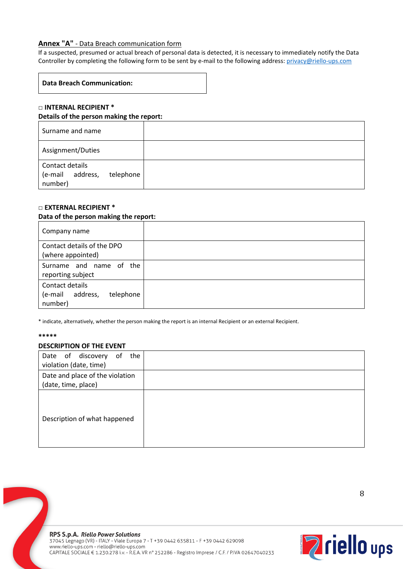## **Annex "A"** - Data Breach communication form

If a suspected, presumed or actual breach of personal data is detected, it is necessary to immediately notify the Data Controller by completing the following form to be sent by e-mail to the following address: privacy@riello-ups.com

# **Data Breach Communication:**

### **□ INTERNAL RECIPIENT \* Details of the person making the report:**

| Surname and name                                               |  |
|----------------------------------------------------------------|--|
| Assignment/Duties                                              |  |
| Contact details<br>address,<br>(e-mail<br>telephone<br>number) |  |

### **□ EXTERNAL RECIPIENT \***

#### **Data of the person making the report:**

| Company name                                                |  |
|-------------------------------------------------------------|--|
| Contact details of the DPO<br>(where appointed)             |  |
| Surname and name of the<br>reporting subject                |  |
| Contact details<br>(e-mail address,<br>telephone<br>number) |  |

\* indicate, alternatively, whether the person making the report is an internal Recipient or an external Recipient.

#### **\*\*\*\*\***

#### **DESCRIPTION OF THE EVENT**

| Date of discovery of<br>the<br>violation (date, time)  |  |
|--------------------------------------------------------|--|
| Date and place of the violation<br>(date, time, place) |  |
| Description of what happened                           |  |